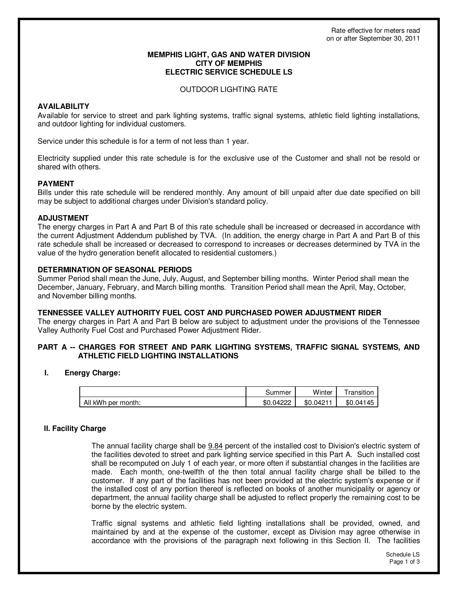## **MEMPHIS LIGHT, GAS AND WATER DIVISION CITY OF MEMPHIS ELECTRIC SERVICE SCHEDULE LS**

## OUTDOOR LIGHTING RATE

# **AVAILABILITY**

Available for service to street and park lighting systems, traffic signal systems, athletic field lighting installations, and outdoor lighting for individual customers.

Service under this schedule is for a term of not less than 1 year.

Electricity supplied under this rate schedule is for the exclusive use of the Customer and shall not be resold or shared with others.

## **PAYMENT**

Bills under this rate schedule will be rendered monthly. Any amount of bill unpaid after due date specified on bill may be subject to additional charges under Division's standard policy.

## **ADJUSTMENT**

The energy charges in Part A and Part B of this rate schedule shall be increased or decreased in accordance with the current Adjustment Addendum published by TVA. (In addition, the energy charge in Part A and Part B of this rate schedule shall be increased or decreased to correspond to increases or decreases determined by TVA in the value of the hydro generation benefit allocated to residential customers.)

## **DETERMINATION OF SEASONAL PERIODS**

Summer Period shall mean the June, July, August, and September billing months. Winter Period shall mean the December, January, February, and March billing months. Transition Period shall mean the April, May, October, and November billing months.

## **TENNESSEE VALLEY AUTHORITY FUEL COST AND PURCHASED POWER ADJUSTMENT RIDER**

The energy charges in Part A and Part B below are subject to adjustment under the provisions of the Tennessee Valley Authority Fuel Cost and Purchased Power Adjustment Rider.

## **PART A -- CHARGES FOR STREET AND PARK LIGHTING SYSTEMS, TRAFFIC SIGNAL SYSTEMS, AND ATHLETIC FIELD LIGHTING INSTALLATIONS**

## **I. Energy Charge:**

|                    | ടummer    | Winter    | ransition |
|--------------------|-----------|-----------|-----------|
| All kWh per month: | \$0.04222 | \$0.0421' | \$0.04145 |

## **II. Facility Charge**

The annual facility charge shall be 9.84 percent of the installed cost to Division's electric system of the facilities devoted to street and park lighting service specified in this Part A. Such installed cost shall be recomputed on July 1 of each year, or more often if substantial changes in the facilities are made. Each month, one-twelfth of the then total annual facility charge shall be billed to the customer. If any part of the facilities has not been provided at the electric system's expense or if the installed cost of any portion thereof is reflected on books of another municipality or agency or department, the annual facility charge shall be adjusted to reflect properly the remaining cost to be borne by the electric system.

Traffic signal systems and athletic field lighting installations shall be provided, owned, and maintained by and at the expense of the customer, except as Division may agree otherwise in accordance with the provisions of the paragraph next following in this Section II. The facilities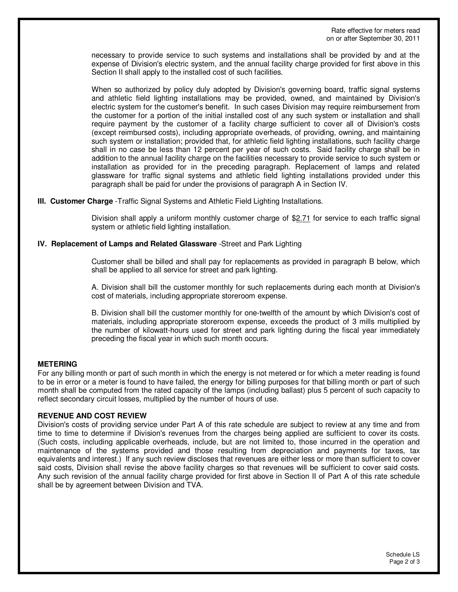Rate effective for meters read on or after September 30, 2011

necessary to provide service to such systems and installations shall be provided by and at the expense of Division's electric system, and the annual facility charge provided for first above in this Section II shall apply to the installed cost of such facilities.

When so authorized by policy duly adopted by Division's governing board, traffic signal systems and athletic field lighting installations may be provided, owned, and maintained by Division's electric system for the customer's benefit. In such cases Division may require reimbursement from the customer for a portion of the initial installed cost of any such system or installation and shall require payment by the customer of a facility charge sufficient to cover all of Division's costs (except reimbursed costs), including appropriate overheads, of providing, owning, and maintaining such system or installation; provided that, for athletic field lighting installations, such facility charge shall in no case be less than 12 percent per year of such costs. Said facility charge shall be in addition to the annual facility charge on the facilities necessary to provide service to such system or installation as provided for in the preceding paragraph. Replacement of lamps and related glassware for traffic signal systems and athletic field lighting installations provided under this paragraph shall be paid for under the provisions of paragraph A in Section IV.

#### **III. Customer Charge** -Traffic Signal Systems and Athletic Field Lighting Installations.

Division shall apply a uniform monthly customer charge of  $$2.71$  for service to each traffic signal system or athletic field lighting installation.

#### **IV. Replacement of Lamps and Related Glassware** -Street and Park Lighting

Customer shall be billed and shall pay for replacements as provided in paragraph B below, which shall be applied to all service for street and park lighting.

A. Division shall bill the customer monthly for such replacements during each month at Division's cost of materials, including appropriate storeroom expense.

B. Division shall bill the customer monthly for one-twelfth of the amount by which Division's cost of materials, including appropriate storeroom expense, exceeds the product of 3 mills multiplied by the number of kilowatt-hours used for street and park lighting during the fiscal year immediately preceding the fiscal year in which such month occurs.

## **METERING**

For any billing month or part of such month in which the energy is not metered or for which a meter reading is found to be in error or a meter is found to have failed, the energy for billing purposes for that billing month or part of such month shall be computed from the rated capacity of the lamps (including ballast) plus 5 percent of such capacity to reflect secondary circuit losses, multiplied by the number of hours of use.

#### **REVENUE AND COST REVIEW**

Division's costs of providing service under Part A of this rate schedule are subject to review at any time and from time to time to determine if Division's revenues from the charges being applied are sufficient to cover its costs. (Such costs, including applicable overheads, include, but are not limited to, those incurred in the operation and maintenance of the systems provided and those resulting from depreciation and payments for taxes, tax equivalents and interest.) If any such review discloses that revenues are either less or more than sufficient to cover said costs, Division shall revise the above facility charges so that revenues will be sufficient to cover said costs. Any such revision of the annual facility charge provided for first above in Section II of Part A of this rate schedule shall be by agreement between Division and TVA.